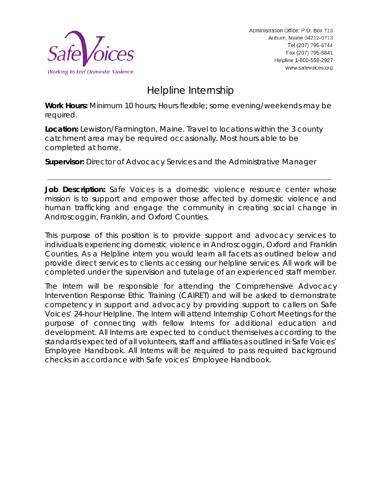

Administration Office: P.O. Box 713 Auburn, Maine 04212-0713 Tel (207) 795-6744 Fax (207) 795-6841 Helpline 1-800-559-2927 www.safevoices.org

# Helpline Internship

**Work Hours:** Minimum 10 hours; Hours flexible; some evening/weekends may be required.

**Location:** Lewiston/Farmington, Maine. Travel to locations within the 3 county catchment area may be required occasionally. Most hours able to be completed at home.

**Supervisor:** Director of Advocacy Services and the Administrative Manager

**Job Description:** Safe Voices is a domestic violence resource center whose mission is to support and empower those affected by domestic violence and human trafficking and engage the community in creating social change in Androscoggin, Franklin, and Oxford Counties.

This purpose of this position is to provide support and advocacy services to individuals experiencing domestic violence in Androscoggin, Oxford and Franklin Counties. As a Helpline intern you would learn all facets as outlined below and provide direct services to clients accessing our helpline services. All work will be completed under the supervision and tutelage of an experienced staff member.

The Intern will be responsible for attending the Comprehensive Advocacy Intervention Response Ethic Training (CAIRET) and will be asked to demonstrate competency in support and advocacy by providing support to callers on Safe Voices' 24-hour Helpline. The Intern will attend Internship Cohort Meetings for the purpose of connecting with fellow Interns for additional education and development. All Interns are expected to conduct themselves according to the standards expected of all volunteers, staff and affiliates as outlined in Safe Voices' Employee Handbook. All Interns will be required to pass required background checks in accordance with Safe voices' Employee Handbook.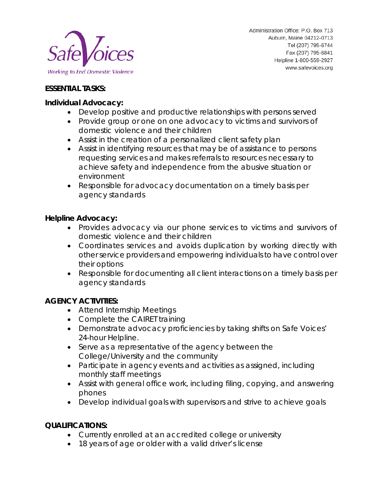

## **ESSENTIAL TASKS:**

#### **Individual Advocacy:**

- Develop positive and productive relationships with persons served
- Provide group or one on one advocacy to victims and survivors of domestic violence and their children
- Assist in the creation of a personalized client safety plan
- Assist in identifying resources that may be of assistance to persons requesting services and makes referrals to resources necessary to achieve safety and independence from the abusive situation or environment
- Responsible for advocacy documentation on a timely basis per agency standards

### **Helpline Advocacy:**

- Provides advocacy via our phone services to victims and survivors of domestic violence and their children
- Coordinates services and avoids duplication by working directly with other service providers and empowering individuals to have control over their options
- Responsible for documenting all client interactions on a timely basis per agency standards

### **AGENCY ACTIVITIES:**

- Attend Internship Meetings
- Complete the CAIRET training
- Demonstrate advocacy proficiencies by taking shifts on Safe Voices' 24-hour Helpline.
- Serve as a representative of the agency between the College/University and the community
- Participate in agency events and activities as assigned, including monthly staff meetings
- Assist with general office work, including filing, copying, and answering phones
- Develop individual goals with supervisors and strive to achieve goals

### **QUALIFICATIONS:**

- Currently enrolled at an accredited college or university
- 18 years of age or older with a valid driver's license